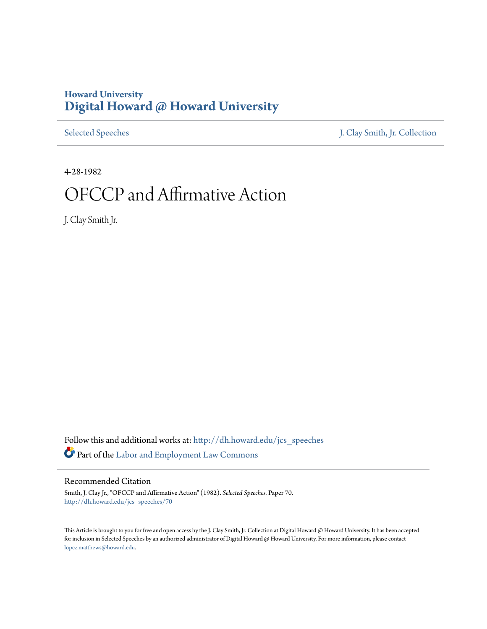## **Howard University [Digital Howard @ Howard University](http://dh.howard.edu?utm_source=dh.howard.edu%2Fjcs_speeches%2F70&utm_medium=PDF&utm_campaign=PDFCoverPages)**

[Selected Speeches](http://dh.howard.edu/jcs_speeches?utm_source=dh.howard.edu%2Fjcs_speeches%2F70&utm_medium=PDF&utm_campaign=PDFCoverPages) [J. Clay Smith, Jr. Collection](http://dh.howard.edu/jcsmith?utm_source=dh.howard.edu%2Fjcs_speeches%2F70&utm_medium=PDF&utm_campaign=PDFCoverPages)

4-28-1982

## OFCCP and Affirmative Action

J. Clay Smith Jr.

Follow this and additional works at: [http://dh.howard.edu/jcs\\_speeches](http://dh.howard.edu/jcs_speeches?utm_source=dh.howard.edu%2Fjcs_speeches%2F70&utm_medium=PDF&utm_campaign=PDFCoverPages) Part of the [Labor and Employment Law Commons](http://network.bepress.com/hgg/discipline/909?utm_source=dh.howard.edu%2Fjcs_speeches%2F70&utm_medium=PDF&utm_campaign=PDFCoverPages)

Recommended Citation

Smith, J. Clay Jr., "OFCCP and Affirmative Action" (1982). *Selected Speeches.* Paper 70. [http://dh.howard.edu/jcs\\_speeches/70](http://dh.howard.edu/jcs_speeches/70?utm_source=dh.howard.edu%2Fjcs_speeches%2F70&utm_medium=PDF&utm_campaign=PDFCoverPages)

This Article is brought to you for free and open access by the J. Clay Smith, Jr. Collection at Digital Howard @ Howard University. It has been accepted for inclusion in Selected Speeches by an authorized administrator of Digital Howard @ Howard University. For more information, please contact [lopez.matthews@howard.edu.](mailto:lopez.matthews@howard.edu)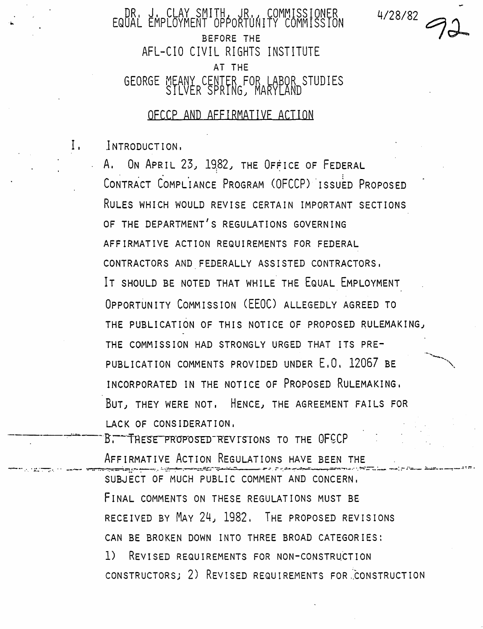DR. J. CLAY SMITH, JR., COMMISSIONER<br>EQUAL EMPLOYMENT OPPORTUNITY COMMISSION BEFORE THE AFL-CIO CIVIL RIGHTS INSTITUTE AT THE GEORGE MEANY CENTER FOR LABOR STUDIES SILVER SPRING; MARYLAND  $4/28/82$ 

DECCP AND AFFIRMATIVE ACTION

I. lNTRODUCTION.

A. ON APRIL 23, 1982, THE OFFICE OF FEDERAL CONTRACT COMPLIANCE PROGRAM (OFCCP) ISSUED PROPOSED RULES WHICH WOULD REVISE CERTAIN IMPORTANT SECTIONS OF THE DEPARTMENT'S REGULATIONS GOVERNING AFFIRMATIVE ACTION REQUIREMENTS FOR FEDERAL CONTRACTORS AND FEDERALLY ASSISTED CONTRACTORS. IT SHOULD BE NOTED THAT WHILE THE EQUAL EMPLOYMENT OPPORTUNITY COMMISSION (EEOC) ALLEGEDLY AGREED TO THE PUBLICATION OF THIS NOTICE OF PROPOSED RULEMAKING, THE COMMISSION HAD STRONGLY URGED THAT ITS PRE-PUBLICATION COMMENTS PROVIDED UNDER E.O. 12067 BE INCORPORATED IN THE NOTICE OF PROPOSED RULEMAKING. BUT, THEY WERE NOT. HENCE, THE AGREEMENT FAILS FOR LACK OF CONSIDERATION.

B. THESE PROPOSED REVISIONS TO THE OFCCP AFFIRMATIVE ACTION REGULATIONS HAVE BEEN THE SUBJECT OF MUCH PUBLIC COMMENT AND CONCERN. FINAL COMMENTS ON THESE REGULATIONS MUST BE RECEIVED BY MAY 24, 1982. THE PROPOSED REVISIONS CAN BE BROKEN DOWN INTO THREE BROAD CATEGORIES: 1) REVISED REQUIREMENTS FOR NON-CONSTRUCTION CONSTRUCTORS: 2) REVISED REQUIREMENTS FOR CONSTRUCTION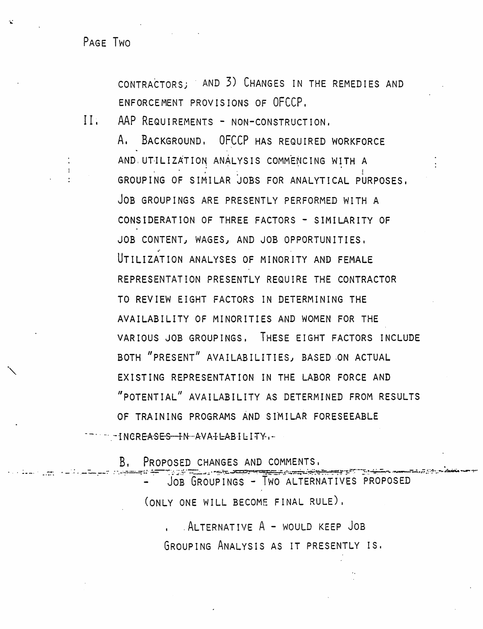PAGE TWO

CONTRACTORS: AND 3) CHANGES IN THE REMEDIES AND ENFORCEMENT PROVISIONS OF OFCCP.

 $\Pi$ . AAP REQUIREMENTS - NON-CONSTRUCTION.

A. BACKGROUND, OFCCP HAS REQUIRED WORKFORCE AND UTILIZATION ANALYSIS COMMENCING WITH A GROUPING OF SIMILAR JOBS FOR ANALYTICAL PURPOSES, JOB GROUPINGS ARE PRESENTLY PERFORMED WITH A CONSIDERATION OF THREE FACTORS - SIMILARITY OF JOB CONTENT, WAGES, AND JOB OPPORTUNITIES, UTILIZATION ANALYSES OF MINORITY AND FEMALE REPRESENTATION PRESENTLY REQUIRE THE CONTRACTOR TO REVIEW EIGHT FACTORS IN DETERMINING THE AVAILABILITY OF MINORITIES AND WOMEN FOR THE VARIOUS JOB GROUPINGS. THESE EIGHT FACTORS INCLUDE BOTH "PRESENT" AVAILABILITIES, BASED ON ACTUAL EXISTING REPRESENTATION IN THE LABOR FORCE AND "POTENTIAL" AVAILABILITY AS DETERMINED FROM RESULTS OF TRAINING PROGRAMS AND SIMILAR FORESEEABLE TERM FINCREASES IN AVAILABILITY

Β. PROPOSED CHANGES AND COMMENTS.

JOB GROUPINGS - TWO ALTERNATIVES PROPOSED (ONLY ONE WILL BECOME FINAL RULE),

ALTERNATIVE A - WOULD KEEP JOB GROUPING ANALYSIS AS IT PRESENTLY IS.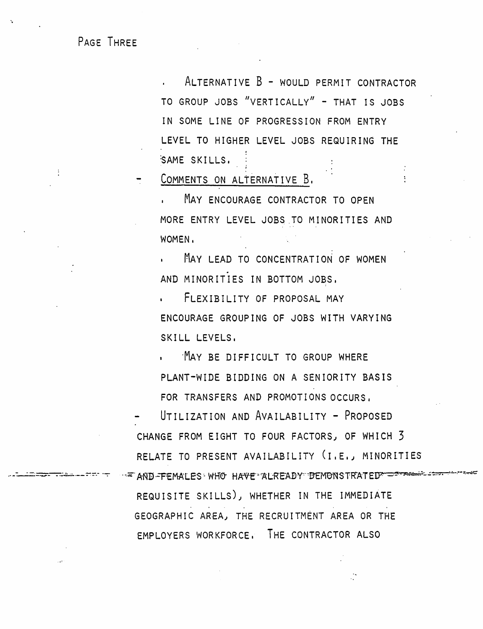PAGE THREE

ALTERNATIVE B - WOULD PERMIT CONTRACTOR TO GROUP JOBS "VERTICALLY" - THAT IS JOBS IN SOME LINE OF PROGRESSION FROM ENTRY LEVEL TO HIGHER LEVEL JOBS REQUIRING THE SAME SKILLS.

COMMENTS ON ALTERNATIVE B.

. MAY ENCOURAGE CONTRACTOR TO OPEN MORE ENTRY LEVEL JOBS TO MINORITIES AND WOMEN.

MAY LEAD TO CONCENTRATION OF WOMEN AND MINORITIES IN BOTTOM JOBS,

. FLEXIBILITY OF PROPOSAL MAY ENCOURAGE GROUPING OF JOBS WITH VARYING SKILL LEVELS.

MAY BE DIFFICULT TO GROUP WHERE PLANT-WIDE BIDDING ON A SENIORITY BASIS FOR TRANSFERS AND PROMOTIONS OCCURS.

UTILIZATION AND AVAILABILITY - PROPOSED CHANGE FROM EIGHT TO FOUR FACTORS, OF WHICH 3 RELATE TO PRESENT AVAILABILITY (I.E., MINORITIES FOR AND FEMALES WHO HAVE ALREADY DEMONSTRATED

REQUISITE SKILLS), WHETHER IN THE IMMEDIATE GEOGRAPHIC AREA, THE RECRUITMENT AREA OR THE EMPLOYERS WORKFORCE. THE CONTRACTOR ALSO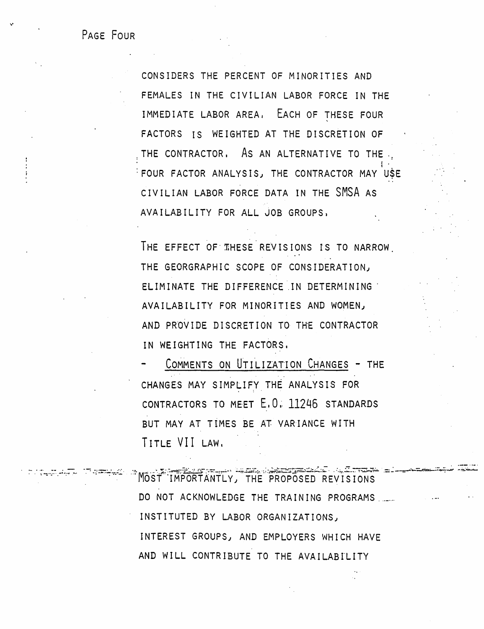PAGE FOUR

CONSIDERS THE PERCENT OF MINORITIES AND FEMALES IN THE CIVILIAN LABOR FORCE IN THE IMMEDIATE LABOR AREA. EACH OF THESE FOUR FACTORS IS WEIGHTED AT THE DISCRETION OF THE CONTRACTOR. As AN ALTERNATIVE TO THE. FOUR FACTOR ANALYSIS, THE CONTRACTOR MAY USE CIVILIAN LABOR FORCE DATA IN THE SMSA AS AVAILABILITY FOR ALL JOB GROUPS,

THE EFFECT OF THESE REVISIONS IS TO NARROW. THE GEORGRAPHIC SCOPE OF CONSIDERATION, ELIMINATE THE DIFFERENCE IN DETERMINING AVAILABILITY FOR MINORITIES AND WOMEN, AND PROVIDE DISCRETION TO THE CONTRACTOR IN WEIGHTING THE FACTORS.

COMMENTS ON UTILIZATION CHANGES - THE CHANGES MAY SIMPLIFY THE ANALYSIS FOR CONTRACTORS TO MEET E.O. 11246 STANDARDS BUT MAY AT TIMES BE AT VARIANCE WITH TITLE VII LAW.

<u>ಭಾರಾಮಿನ ಸಂಖ್ಯ</u> MOST IMPORTANTLY, THE PROPOSED REVISIONS DO NOT ACKNOWLEDGE THE TRAINING PROGRAMS INSTITUTED BY LABOR ORGANIZATIONS, INTEREST GROUPS, AND EMPLOYERS WHICH HAVE AND WILL CONTRIBUTE TO THE AVAILABILITY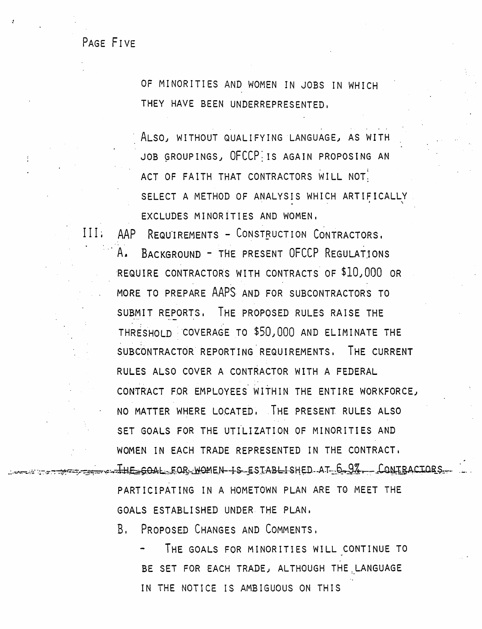PAGE FIVE

OF MINORITIES AND WOMEN IN JOBS IN WHICH THEY HAVE BEEN UNDERREPRESENTED.

ALSO, WITHOUT QUALIFYING LANGUAGE, AS WITH JOB GROUPINGS, OFCCPIIS AGAIN PROPOSING AN ACT OF FAITH THAT CONTRACTORS WILL NOT. SELECT A METHOD OF ANALYSIS WHICH ARTIFICALLY EXCLUDES MINORITIES AND WOMEN.

III: AAP REQUIREMENTS - CONSTRUCTION CONTRACTORS. A. BACKGROUND - THE PRESENT OFCCP REGULATIONS REQUIRE CONTRACTORS WITH CONTRACTS OF \$10,000 OR MORE TO PREPARE AAPS AND FOR SUBCONTRACTORS TO SUBMIT REPORTS, THE PROPOSED RULES RAISE THE THRESHOLD COVERAGE TO \$50,000 AND ELIMINATE THE SUBCONTRACTOR REPORTING REQUIREMENTS, THE CURRENT RULES ALSO COVER A CONTRACTOR WITH A FEDERAL CONTRACT FOR EMPLOYEES WITHIN THE ENTIRE WORKFORCE, NO MATTER WHERE LOCATED. THE PRESENT RULES ALSO SET GOALS FOR THE UTILIZATION OF MINORITIES AND WOMEN IN EACH TRADE REPRESENTED IN THE CONTRACT. ...The soal for women is established at 6-9%. Contractors PARTICIPATING IN A HOMETOWN PLAN ARE TO MEET THE

GOALS ESTABLISHED UNDER THE PLAN,

B. PROPOSED CHANGES AND COMMENTS.

THE GOALS FOR MINORITIES WILL CONTINUE TO BE SET FOR EACH TRADE, ALTHOUGH THE LANGUAGE IN THE NOTICE IS AMBIGUOUS ON THIS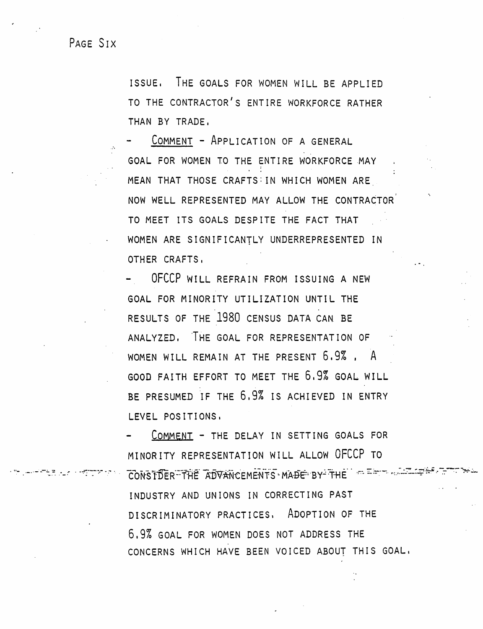PAGE SIX

ISSUE, THE GOALS FOR WOMEN WILL BE APPLIED TO THE CONTRACTOR'S ENTIRE WORKFORCE RATHER THAN BY TRADE,

COMMENT - ApPLICATION OF A GENERAL GOAL FOR WOMEN TO THE ENTIRE WORKFORCE MAY MEAN THAT THOSE CRAFTS: IN WHICH WOMEN ARE NOW WELL REPRESENTED MAY ALLOW THE CONTRACTOR TO MEET ITS GOALS DESPITE THE FACT THAT WOMEN ARE SIGNIFICANTLY UNDERREPRESENTED IN OTHER CRAFTS.

. -.

- OFCCP WILL REFRAIN FROM ISSUING A NEW GOAL FOR MINORITY UTILIZATION UNTIL THE RESULTS OF THE 1980 CENSUS DATA CAN BE ANALYZED. 'THE GOAL FOR REPRESENTAT ION OF WOMEN WILL REMAIN AT THE PRESENT 6.9%. A GOOD FAITH EFFORT TO MEET THE 6,9% GOAL WILL BE PRESUMED IF THE 6.9% IS ACHIEVED IN ENTRY LEVEL POSITIONS,

. يستحق به المستحدة المستحدة المستحدة المستحدة المستحدة المستحدة المستحدة المستحدة المستحدة المستحدة المستحدة<br>يستحدث المستحدة المستحدة المستحدة المستحدة المستحدة المستحدة المستحدة المستحدة المستحدة المستحدة المستحدة المس COMMENT - THE DELAY IN SETTING GOALS FOR MINORITY REPRESENTATION WILL ALLOW OFCCP TO INDUSTRY AND UNIONS IN CORRECTING PAST DISCRIMINATORY PRACTICES, ADOPTION OF THE 6.9% GOAL FOR WOMEN DOES NOT ADDRESS THE CONCERNS WHICH HAVE BEEN VOICED ABOUT THIS GOAL,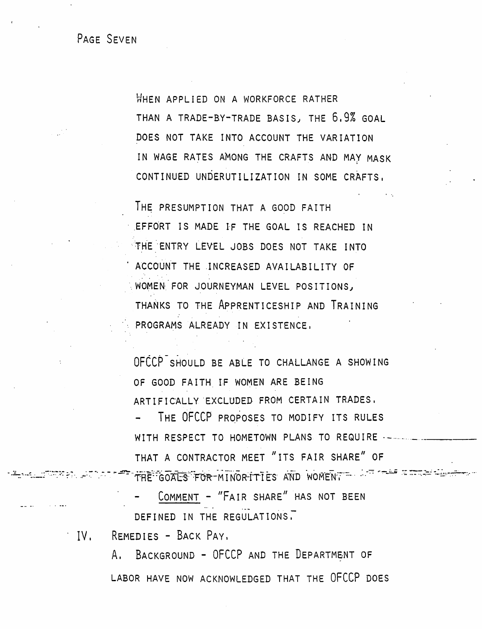PAGE SEVEN

WHEN APPLIED ON A WORKFORCE RATHER THAN A TRADE-BY-TRADE BASIS, THE 6.9% GOAL DOES NOT TAKE INTO ACCOUNT THE VARIATION IN WAGE RATES AMONG THE CRAFTS AND MAY MASK CONTINUED UNDERUTILIZATION IN SOME CRAFTS,

THE PRESUMPTION THAT A GOOD FAITH EFFORT IS MADE IF THE GOAL IS REACHED IN THE ENTRY LEVEL JOBS DOES NOT TAKE INTO ACCOUNT THE INCREASED AVAILABILITY OF WOMEN FOR JOURNEYMAN LEVEL POSITIONS, THANKS TO THE APPRENTICESHIP AND TRAINING PROGRAMS ALREADY IN EXISTENCE,

OFCCP SHOULD BE ABLE TO CHALLANGE A SHOWING OF GOOD FAITH IF WOMEN ARE BEING ARTIFICALLY EXCLUDED FROM CERTAIN TRADES. THE OFCCP PROPOSES TO MODIFY ITS RULES WITH RESPECT TO HOMETOWN PLANS TO REQUIRE --------THAT A CONTRACTOR MEET "ITS FAIR SHARE" OF AT A LITTLE GOALS FOR MINORITIES AND WOMENT TO A THE TIME AND

COMMENT - "FAIR SHARE" HAS NOT BEEN DEFINED IN THE REGULATIONS.

IV. REMEDIES - BACK PAY.

A. BACKGROUND - OFCCP AND THE DEPARTMENT OF LABOR HAVE NOW ACKNOWLEDGED THAT THE OFCCP DOES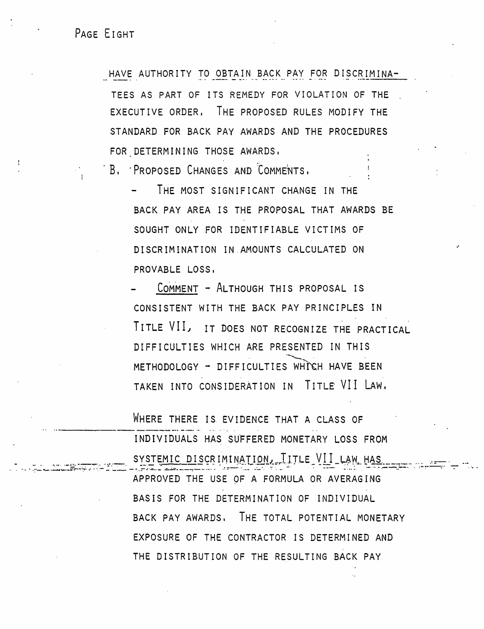PAGE EIGHT

HAVE AUTHORITY TO OBTAIN BACK PAY FOR DISCRIMINA-TEES AS PART OF ITS REMEDY FOR VIOLATION OF THE EXECUTIVE ORDER. THE PROPOSED RULES MODIFY THE STANDARD FOR BACK PAY AWARDS AND THE PROCEDURES FOR DETERMINING THOSE AWARDS,

B. PROPOSED CHANGES AND COMMENTS.

THE MOST SIGNIFICANT CHANGE IN THE BACK PAY AREA IS THE PROPOSAL THAT AWARDS BE SOUGHT ONLY FOR IDENTIFIABLE VICTIMS OF DISCRIMINATION IN AMOUNTS CALCULATED ON PROVABLE LOSS.

COMMENT - ALTHOUGH THIS PROPOSAL IS CONSISTENT WITH THE BACK PAY PRINCIPLES IN TITLE VII, IT DOES NOT RECOGNIZE THE PRACTICAL DIFFICULTIES WHICH ARE PRESENTED IN THIS METHODOLOGY - DIFFICULTIES WHICH HAVE BEEN TAKEN INTO CONSIDERATION IN TITLE VII LAW.

WHERE THERE IS EVIDENCE THAT A CLASS OF INDIVIDUALS HAS SUFFERED MONETARY LOSS FROM SYSTEMIC DISCRIMINATION, TITLE VII LAW HAS APPROVED THE USE OF A FORMULA OR AVERAGING BASIS FOR THE DETERMINATION OF INDIVIDUAL BACK PAY AWARDS, THE TOTAL POTENTIAL MONETARY EXPOSURE OF THE CONTRACTOR IS DETERMINED AND THE DISTRIBUTION OF THE RESULTING BACK PAY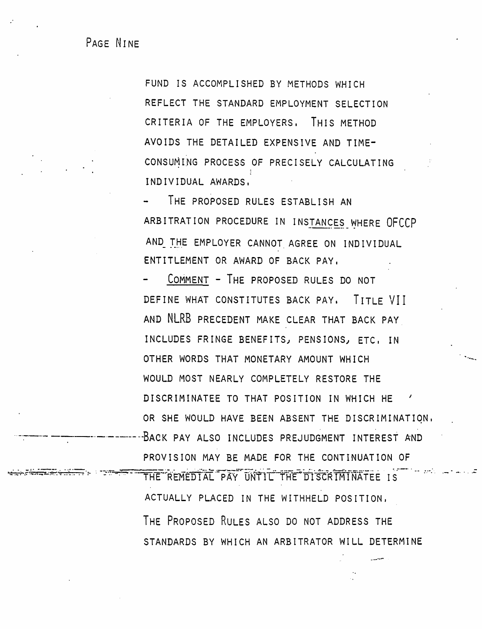PAGE NINE

FUND IS ACCOMPLISHED BY METHODS WHICH REFLECT THE STANDARD EMPLOYMENT SELECTION CRITERIA OF THE EMPLOYERS, THIS METHOD AVOIDS THE DETAILED EXPENSIVE AND TIME-CONSUMING PROCESS OF PRECISELY CALCULATING INDIVIDUAL AWARDS,

THE PROPOSED RULES ESTABLISH AN ARBITRATION PROCEDURE IN INSTANCES WHERE OFCCP AND THE EMPLOYER CANNOT AGREE ON INDIVIDUAL ENTITLEMENT OR AWARD OF BACK PAY,

COMMENT - THE PROPOSED RULES DO NOT DEFINE WHAT CONSTITUTES BACK PAY. TITLE VII AND NLRB PRECEDENT MAKE CLEAR THAT BACK PAY INCLUDES FRINGE BENEFITS, PENSIONS, ETC. IN OTHER WORDS THAT MONETARY AMOUNT WHICH WOULD MOST NEARLY COMPLETELY RESTORE THE DISCRIMINATEE TO THAT POSITION IN WHICH HE OR SHE WOULD HAVE BEEN ABSENT THE DISCRIMINATION. BACK PAY ALSO INCLUDES PREJUDGMENT INTEREST AND PROVISION MAY BE MADE FOR THE CONTINUATION OF

THE REMEDIAL PAY UNTIL THE DISCRIMINATEE IS ACTUALLY PLACED IN THE WITHHELD POSITION, THE PROPOSED RULES ALSO DO NOT ADDRESS THE STANDARDS BY WHICH AN ARBITRATOR WILL DETERMINE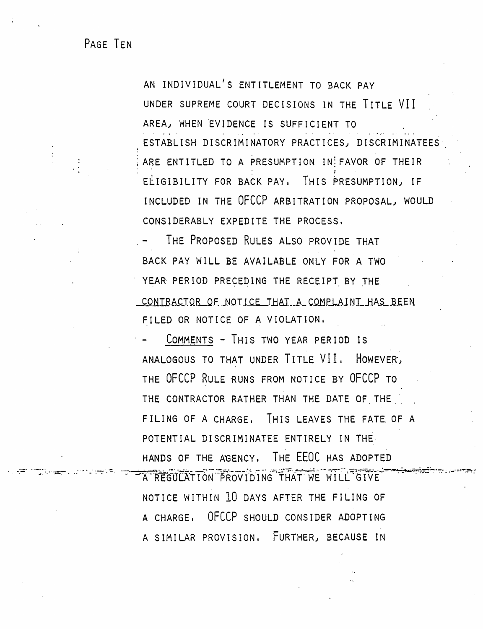PAGE TEN

AN INDIVIDUAL'S ENTITLEMENT TO BACK PAY UNDER SUPREME COURT DECISIONS IN THE TITLE VII AREA, WHEN EVIDENCE IS SUFFICIENT TO ESTABLISH DISCRIMINATORY PRACTICES, DISCRIMINATEES ARE ENTITLED TO A PRESUMPTION IN FAVOR OF THEIR ELIGIBILITY FOR BACK PAY. THIS PRESUMPTION, IF INCLUDED IN THE OFCCP ARBITRATION PROPOSAL, WOULD CONSIDERABLY EXPEDITE THE PROCESS.

THE PROPOSED RULES ALSO PROVIDE THAT BACK PAY WILL BE AVAILABLE ONLY FOR A TWO YEAR PERIOD PRECEDING THE RECEIPT BY THE CONTRACTOR OF NOTICE THAT A COMPLAINT HAS BEEN FILED OR NOTICE OF A VIOLATION.

COMMENTS - THIS TWO YEAR PERIOD IS ANALOGOUS TO THAT UNDER TITLE VII. HOWEVER, THE OFCCP RULE RUNS FROM NOTICE BY OFCCP TO THE CONTRACTOR RATHER THAN THE DATE OF THE FILING OF A CHARGE. THIS LEAVES THE FATE OF A POTENTIAL DISCRIMINATEE ENTIRELY IN THE HANDS OF THE AGENCY, THE EEOC HAS ADOPTED

A REGULATION PROVIDING THAT WE WILL GIVE NOTICE WITHIN 10 DAYS AFTER THE FILING OF A CHARGE, OFCCP SHOULD CONSIDER ADOPTING A SIMILAR PROVISION, FURTHER, BECAUSE IN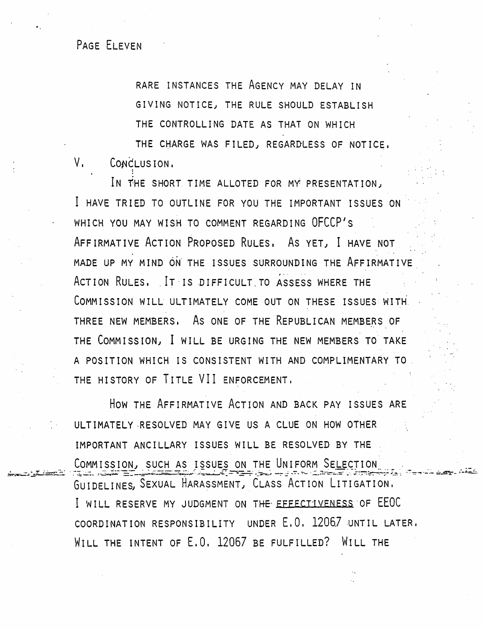## PAGE ELEVEN

RARE INSTANCES THE AGENCY MAY DELAY IN GIVING NOTICE, THE RULE SHOULD ESTABLISH THE CONTROLLING DATE AS THAT ON WHICH THE CHARGE WAS FILED, REGARDLESS OF NOTICE,

 $V_{\rm L}$ CONCLUSION.

IN THE SHORT TIME ALLOTED FOR MY PRESENTATION, I HAVE TRIED TO OUTLINE FOR YOU THE IMPORTANT ISSUES ON WHICH YOU MAY WISH TO COMMENT REGARDING OFCCP'S AFFIRMATIVE ACTION PROPOSED RULES, AS YET, I HAVE NOT MADE UP MY MIND ON THE ISSUES SURROUNDING THE AFFIRMATIVE ACTION RULES. IT IS DIFFICULT TO ASSESS WHERE THE COMMISSION WILL ULTIMATELY COME OUT ON THESE ISSUES WITH. THREE NEW MEMBERS. As ONE OF THE REPUBLICAN MEMBERS OF THE COMMISSION, I WILL BE URGING THE NEW MEMBERS TO TAKE A POSITION WHICH IS CONSISTENT WITH AND COMPLIMENTARY TO THE HISTORY OF TITLE VII ENFORCEMENT.

HOW THE AFFIRMATIVE ACTION AND BACK PAY ISSUES ARE ULTIMATELY RESOLVED MAY GIVE US A CLUE ON HOW OTHER IMPORTANT ANCILLARY ISSUES WILL BE RESOLVED BY THE COMMISSION, SUCH AS ISSUES ON THE UNIFORM SELECTION GUIDELINES, SEXUAL HARASSMENT, CLASS ACTION LITIGATION. I WILL RESERVE MY JUDGMENT ON THE EFFECTIVENESS OF EEOC COORDINATION RESPONSIBILITY UNDER E.O. 12067 UNTIL LATER. WILL THE INTENT OF E.O. 12067 BE FULFILLED? WILL THE